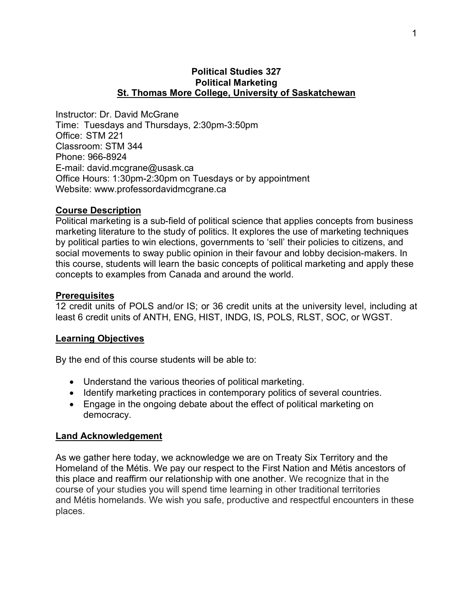### **Political Studies 327 Political Marketing St. Thomas More College, University of Saskatchewan**

Instructor: Dr. David McGrane Time: Tuesdays and Thursdays, 2:30pm-3:50pm Office: STM 221 Classroom: STM 344 Phone: 966-8924 E-mail: david.mcgrane@usask.ca Office Hours: 1:30pm-2:30pm on Tuesdays or by appointment Website: www.professordavidmcgrane.ca

### **Course Description**

Political marketing is a sub-field of political science that applies concepts from business marketing literature to the study of politics. It explores the use of marketing techniques by political parties to win elections, governments to 'sell' their policies to citizens, and social movements to sway public opinion in their favour and lobby decision-makers. In this course, students will learn the basic concepts of political marketing and apply these concepts to examples from Canada and around the world.

### **Prerequisites**

12 credit units of POLS and/or IS; or 36 credit units at the university level, including at least 6 credit units of ANTH, ENG, HIST, INDG, IS, POLS, RLST, SOC, or WGST.

#### **Learning Objectives**

By the end of this course students will be able to:

- Understand the various theories of political marketing.
- Identify marketing practices in contemporary politics of several countries.
- Engage in the ongoing debate about the effect of political marketing on democracy.

### **Land Acknowledgement**

As we gather here today, we acknowledge we are on Treaty Six Territory and the Homeland of the Métis. We pay our respect to the First Nation and Métis ancestors of this place and reaffirm our relationship with one another. We recognize that in the course of your studies you will spend time learning in other traditional territories and Métis homelands. We wish you safe, productive and respectful encounters in these places.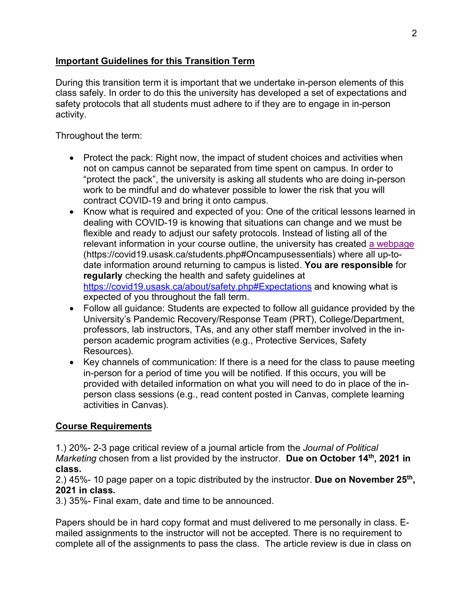## **Important Guidelines for this Transition Term**

During this transition term it is important that we undertake in-person elements of this class safely. In order to do this the university has developed a set of expectations and safety protocols that all students must adhere to if they are to engage in in-person activity.

Throughout the term:

- Protect the pack: Right now, the impact of student choices and activities when not on campus cannot be separated from time spent on campus. In order to "protect the pack", the university is asking all students who are doing in-person work to be mindful and do whatever possible to lower the risk that you will contract COVID-19 and bring it onto campus.
- Know what is required and expected of you: One of the critical lessons learned in dealing with COVID-19 is knowing that situations can change and we must be flexible and ready to adjust our safety protocols. Instead of listing all of the relevant information in your course outline, the university has created a webpage (https://covid19.usask.ca/students.php#Oncampusessentials) where all up-todate information around returning to campus is listed. **You are responsible** for **regularly** checking the health and safety guidelines at https://covid19.usask.ca/about/safety.php#Expectations and knowing what is expected of you throughout the fall term.
- Follow all guidance: Students are expected to follow all guidance provided by the University's Pandemic Recovery/Response Team (PRT), College/Department, professors, lab instructors, TAs, and any other staff member involved in the inperson academic program activities (e.g., Protective Services, Safety Resources).
- Key channels of communication: If there is a need for the class to pause meeting in-person for a period of time you will be notified. If this occurs, you will be provided with detailed information on what you will need to do in place of the inperson class sessions (e.g., read content posted in Canvas, complete learning activities in Canvas).

# **Course Requirements**

1.) 20%- 2-3 page critical review of a journal article from the *Journal of Political Marketing* chosen from a list provided by the instructor. **Due on October 14th, 2021 in class.** 

2.) 45%- 10 page paper on a topic distributed by the instructor. **Due on November 25th, 2021 in class.** 

3.) 35%- Final exam, date and time to be announced.

Papers should be in hard copy format and must delivered to me personally in class. Emailed assignments to the instructor will not be accepted. There is no requirement to complete all of the assignments to pass the class. The article review is due in class on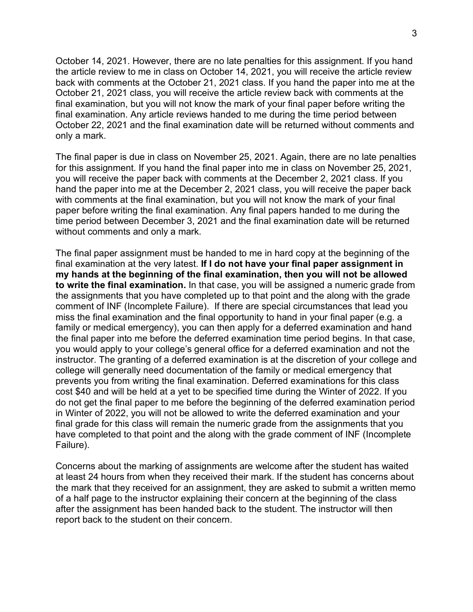October 14, 2021. However, there are no late penalties for this assignment. If you hand the article review to me in class on October 14, 2021, you will receive the article review back with comments at the October 21, 2021 class. If you hand the paper into me at the October 21, 2021 class, you will receive the article review back with comments at the final examination, but you will not know the mark of your final paper before writing the final examination. Any article reviews handed to me during the time period between October 22, 2021 and the final examination date will be returned without comments and only a mark.

The final paper is due in class on November 25, 2021. Again, there are no late penalties for this assignment. If you hand the final paper into me in class on November 25, 2021, you will receive the paper back with comments at the December 2, 2021 class. If you hand the paper into me at the December 2, 2021 class, you will receive the paper back with comments at the final examination, but you will not know the mark of your final paper before writing the final examination. Any final papers handed to me during the time period between December 3, 2021 and the final examination date will be returned without comments and only a mark.

The final paper assignment must be handed to me in hard copy at the beginning of the final examination at the very latest. **If I do not have your final paper assignment in my hands at the beginning of the final examination, then you will not be allowed to write the final examination.** In that case, you will be assigned a numeric grade from the assignments that you have completed up to that point and the along with the grade comment of INF (Incomplete Failure). If there are special circumstances that lead you miss the final examination and the final opportunity to hand in your final paper (e.g. a family or medical emergency), you can then apply for a deferred examination and hand the final paper into me before the deferred examination time period begins. In that case, you would apply to your college's general office for a deferred examination and not the instructor. The granting of a deferred examination is at the discretion of your college and college will generally need documentation of the family or medical emergency that prevents you from writing the final examination. Deferred examinations for this class cost \$40 and will be held at a yet to be specified time during the Winter of 2022. If you do not get the final paper to me before the beginning of the deferred examination period in Winter of 2022, you will not be allowed to write the deferred examination and your final grade for this class will remain the numeric grade from the assignments that you have completed to that point and the along with the grade comment of INF (Incomplete Failure).

Concerns about the marking of assignments are welcome after the student has waited at least 24 hours from when they received their mark. If the student has concerns about the mark that they received for an assignment, they are asked to submit a written memo of a half page to the instructor explaining their concern at the beginning of the class after the assignment has been handed back to the student. The instructor will then report back to the student on their concern.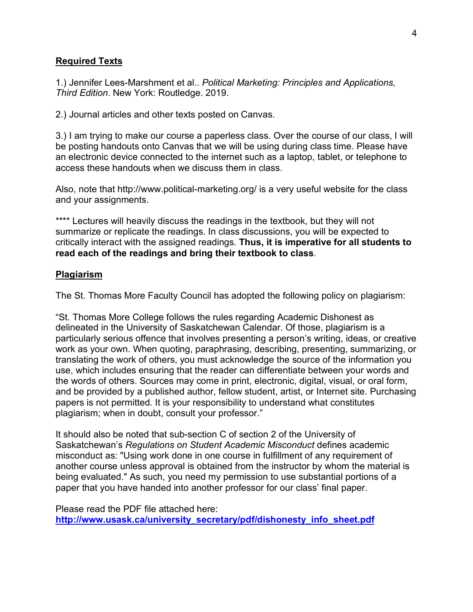## **Required Texts**

1.) Jennifer Lees-Marshment et al.. *Political Marketing: Principles and Applications, Third Edition*. New York: Routledge. 2019.

2.) Journal articles and other texts posted on Canvas.

3.) I am trying to make our course a paperless class. Over the course of our class, I will be posting handouts onto Canvas that we will be using during class time. Please have an electronic device connected to the internet such as a laptop, tablet, or telephone to access these handouts when we discuss them in class.

Also, note that http://www.political-marketing.org/ is a very useful website for the class and your assignments.

\*\*\*\* Lectures will heavily discuss the readings in the textbook, but they will not summarize or replicate the readings. In class discussions, you will be expected to critically interact with the assigned readings. **Thus, it is imperative for all students to read each of the readings and bring their textbook to class**.

### **Plagiarism**

The St. Thomas More Faculty Council has adopted the following policy on plagiarism:

"St. Thomas More College follows the rules regarding Academic Dishonest as delineated in the University of Saskatchewan Calendar. Of those, plagiarism is a particularly serious offence that involves presenting a person's writing, ideas, or creative work as your own. When quoting, paraphrasing, describing, presenting, summarizing, or translating the work of others, you must acknowledge the source of the information you use, which includes ensuring that the reader can differentiate between your words and the words of others. Sources may come in print, electronic, digital, visual, or oral form, and be provided by a published author, fellow student, artist, or Internet site. Purchasing papers is not permitted. It is your responsibility to understand what constitutes plagiarism; when in doubt, consult your professor."

It should also be noted that sub-section C of section 2 of the University of Saskatchewan's *Regulations on Student Academic Misconduct* defines academic misconduct as: "Using work done in one course in fulfillment of any requirement of another course unless approval is obtained from the instructor by whom the material is being evaluated." As such, you need my permission to use substantial portions of a paper that you have handed into another professor for our class' final paper.

Please read the PDF file attached here: **http://www.usask.ca/university\_secretary/pdf/dishonesty\_info\_sheet.pdf**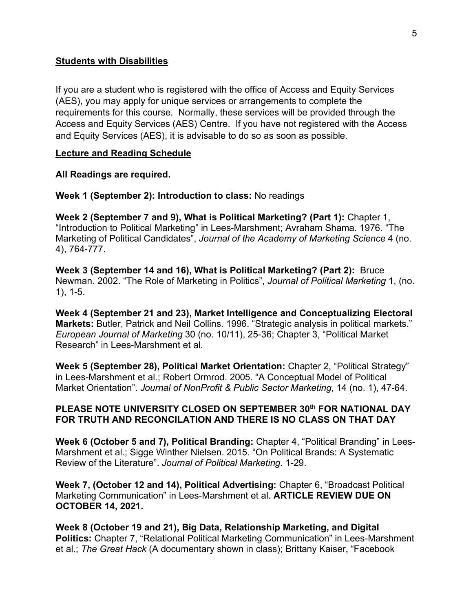#### **Students with Disabilities**

If you are a student who is registered with the office of Access and Equity Services (AES), you may apply for unique services or arrangements to complete the requirements for this course. Normally, these services will be provided through the Access and Equity Services (AES) Centre. If you have not registered with the Access and Equity Services (AES), it is advisable to do so as soon as possible.

#### **Lecture and Reading Schedule**

**All Readings are required.** 

**Week 1 (September 2): Introduction to class:** No readings

**Week 2 (September 7 and 9), What is Political Marketing? (Part 1):** Chapter 1, "Introduction to Political Marketing" in Lees-Marshment; Avraham Shama. 1976. "The Marketing of Political Candidates", *Journal of the Academy of Marketing Science* 4 (no. 4), 764-777.

**Week 3 (September 14 and 16), What is Political Marketing? (Part 2):** Bruce Newman. 2002. "The Role of Marketing in Politics", *Journal of Political Marketing* 1, (no. 1), 1-5.

**Week 4 (September 21 and 23), Market Intelligence and Conceptualizing Electoral Markets:** Butler, Patrick and Neil Collins. 1996. "Strategic analysis in political markets." *European Journal of Marketing* 30 (no. 10/11), 25-36; Chapter 3, "Political Market Research" in Lees-Marshment et al.

**Week 5 (September 28), Political Market Orientation:** Chapter 2, "Political Strategy" in Lees-Marshment et al.; Robert Ormrod. 2005. "A Conceptual Model of Political Market Orientation". *Journal of NonProfit & Public Sector Marketing*, 14 (no. 1), 47-64.

## **PLEASE NOTE UNIVERSITY CLOSED ON SEPTEMBER 30th FOR NATIONAL DAY FOR TRUTH AND RECONCILATION AND THERE IS NO CLASS ON THAT DAY**

**Week 6 (October 5 and 7), Political Branding:** Chapter 4, "Political Branding" in Lees-Marshment et al.; Sigge Winther Nielsen. 2015. "On Political Brands: A Systematic Review of the Literature". *Journal of Political Marketing*. 1-29.

**Week 7, (October 12 and 14), Political Advertising:** Chapter 6, "Broadcast Political Marketing Communication" in Lees-Marshment et al. **ARTICLE REVIEW DUE ON OCTOBER 14, 2021.** 

**Week 8 (October 19 and 21), Big Data, Relationship Marketing, and Digital Politics:** Chapter 7, "Relational Political Marketing Communication" in Lees-Marshment et al.; *The Great Hack* (A documentary shown in class); Brittany Kaiser, "Facebook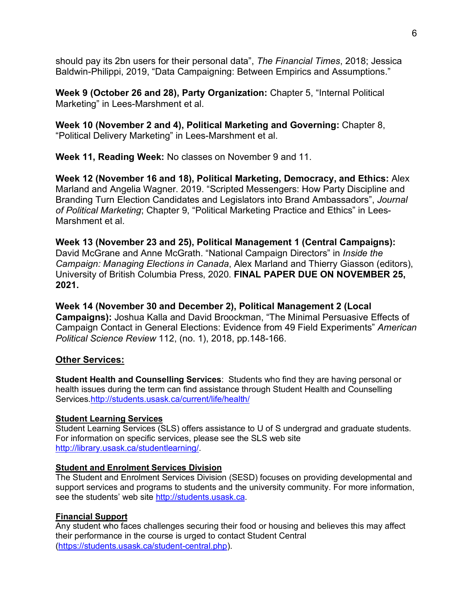should pay its 2bn users for their personal data", *The Financial Times*, 2018; Jessica Baldwin-Philippi, 2019, "Data Campaigning: Between Empirics and Assumptions."

**Week 9 (October 26 and 28), Party Organization:** Chapter 5, "Internal Political Marketing" in Lees-Marshment et al.

**Week 10 (November 2 and 4), Political Marketing and Governing:** Chapter 8, "Political Delivery Marketing" in Lees-Marshment et al.

**Week 11, Reading Week:** No classes on November 9 and 11.

**Week 12 (November 16 and 18), Political Marketing, Democracy, and Ethics:** Alex Marland and Angelia Wagner. 2019. "Scripted Messengers: How Party Discipline and Branding Turn Election Candidates and Legislators into Brand Ambassadors", *Journal of Political Marketing*; Chapter 9, "Political Marketing Practice and Ethics" in Lees-Marshment et al.

**Week 13 (November 23 and 25), Political Management 1 (Central Campaigns):** David McGrane and Anne McGrath. "National Campaign Directors" in *Inside the Campaign: Managing Elections in Canada*, Alex Marland and Thierry Giasson (editors), University of British Columbia Press, 2020. **FINAL PAPER DUE ON NOVEMBER 25, 2021.** 

**Week 14 (November 30 and December 2), Political Management 2 (Local Campaigns):** Joshua Kalla and David Broockman, "The Minimal Persuasive Effects of Campaign Contact in General Elections: Evidence from 49 Field Experiments" *American Political Science Review* 112, (no. 1), 2018, pp.148-166.

### **Other Services:**

**Student Health and Counselling Services**: Students who find they are having personal or health issues during the term can find assistance through Student Health and Counselling Services.http://students.usask.ca/current/life/health/

#### **Student Learning Services**

Student Learning Services (SLS) offers assistance to U of S undergrad and graduate students. For information on specific services, please see the SLS web site http://library.usask.ca/studentlearning/.

#### **Student and Enrolment Services Division**

The Student and Enrolment Services Division (SESD) focuses on providing developmental and support services and programs to students and the university community. For more information, see the students' web site http://students.usask.ca.

#### **Financial Support**

Any student who faces challenges securing their food or housing and believes this may affect their performance in the course is urged to contact Student Central (https://students.usask.ca/student-central.php).